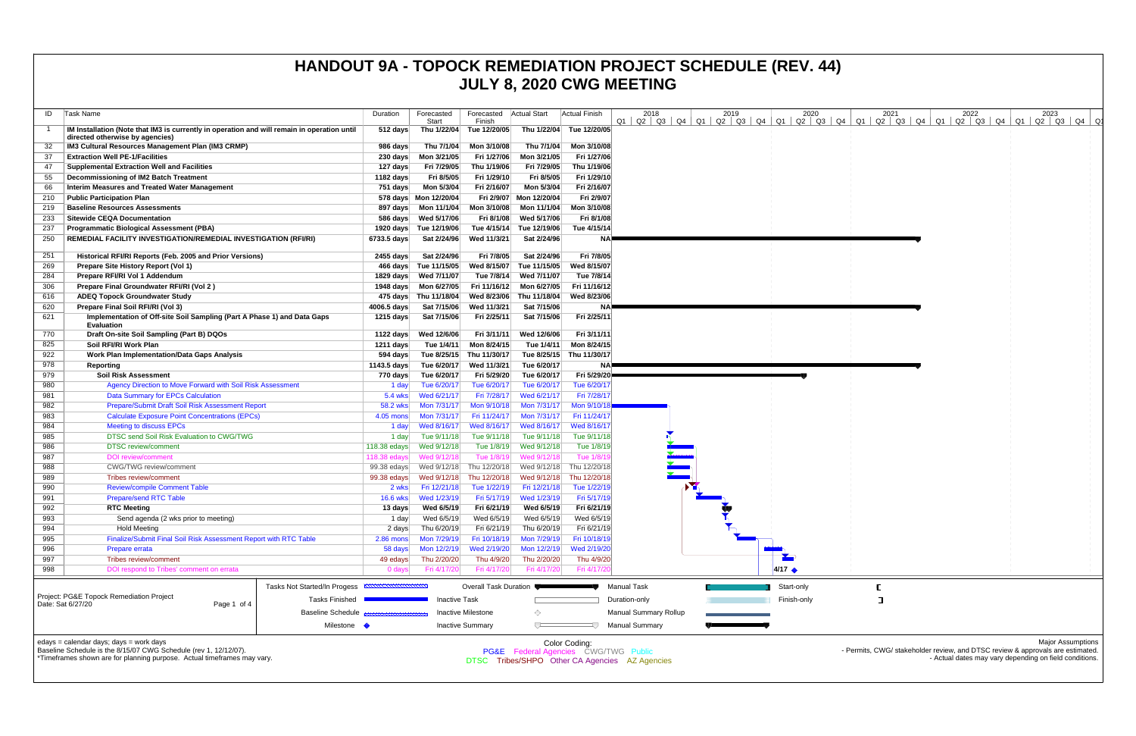| ID<br>Task Name                                                                                                                                                                        | Duration           | Forecasted<br>Start        | Forecasted<br>Finish       | <b>Actual Start</b>        | Actual Finish                                         | 2018                                           | 2019 | 2020<br>$Q1$   $Q2$   $Q3$   $Q4$   $Q1$   $Q2$   $Q3$   $Q4$   $Q1$   $Q2$   $Q3$   $Q4$   $Q1$ | 2021<br>Q2   Q3   Q4   Q1 | 2023<br>2022<br>Q2   Q3   Q4   Q1   Q2   Q3   Q4  Q1                                                                                                                 |
|----------------------------------------------------------------------------------------------------------------------------------------------------------------------------------------|--------------------|----------------------------|----------------------------|----------------------------|-------------------------------------------------------|------------------------------------------------|------|--------------------------------------------------------------------------------------------------|---------------------------|----------------------------------------------------------------------------------------------------------------------------------------------------------------------|
| IM Installation (Note that IM3 is currently in operation and will remain in operation until<br>directed otherwise by agencies)                                                         | 512 days           |                            | Thu 1/22/04 Tue 12/20/05   |                            | Thu 1/22/04 Tue 12/20/05                              |                                                |      |                                                                                                  |                           |                                                                                                                                                                      |
| IM3 Cultural Resources Management Plan (IM3 CRMP)                                                                                                                                      | 986 days           | Thu 7/1/04                 | Mon 3/10/08                | Thu 7/1/04                 | Mon 3/10/08                                           |                                                |      |                                                                                                  |                           |                                                                                                                                                                      |
| <b>Extraction Well PE-1/Facilities</b><br>-37                                                                                                                                          | $230 \text{ days}$ | Mon 3/21/05                | Fri 1/27/06                | Mon 3/21/05                | Fri 1/27/06                                           |                                                |      |                                                                                                  |                           |                                                                                                                                                                      |
| <b>Supplemental Extraction Well and Facilities</b><br>47                                                                                                                               | 127 days           | Fri 7/29/05                | Thu 1/19/06                | Fri 7/29/05                | Thu 1/19/06                                           |                                                |      |                                                                                                  |                           |                                                                                                                                                                      |
| Decommissioning of IM2 Batch Treatment<br>55                                                                                                                                           | 1182 days          | Fri 8/5/05                 | Fri 1/29/10                | Fri 8/5/05                 | Fri 1/29/10                                           |                                                |      |                                                                                                  |                           |                                                                                                                                                                      |
| <b>Interim Measures and Treated Water Management</b><br>66                                                                                                                             | 751 days           | Mon 5/3/04                 | Fri 2/16/07                | Mon 5/3/04                 | Fri 2/16/07                                           |                                                |      |                                                                                                  |                           |                                                                                                                                                                      |
| <b>Public Participation Plan</b><br>210                                                                                                                                                |                    | 578 days  Mon 12/20/04     |                            | Fri 2/9/07 Mon 12/20/04    | Fri 2/9/07                                            |                                                |      |                                                                                                  |                           |                                                                                                                                                                      |
| <b>Baseline Resources Assessments</b><br>219                                                                                                                                           |                    | 897 days    Mon 11/1/04    | Mon 3/10/08                | Mon 11/1/04                | Mon 3/10/08                                           |                                                |      |                                                                                                  |                           |                                                                                                                                                                      |
| <b>Sitewide CEQA Documentation</b><br>233                                                                                                                                              | 586 days           | Wed 5/17/06                | Fri 8/1/08                 | Wed 5/17/06                | Fri 8/1/08                                            |                                                |      |                                                                                                  |                           |                                                                                                                                                                      |
| <b>Programmatic Biological Assessment (PBA)</b><br>237                                                                                                                                 |                    | 1920 days Tue 12/19/06     | Tue 4/15/14                | Tue 12/19/06               | Tue 4/15/14                                           |                                                |      |                                                                                                  |                           |                                                                                                                                                                      |
| REMEDIAL FACILITY INVESTIGATION/REMEDIAL INVESTIGATION (RFI/RI)<br>250                                                                                                                 | 6733.5 days        | Sat 2/24/96                | Wed 11/3/21                | Sat 2/24/96                | <b>NA</b>                                             |                                                |      |                                                                                                  |                           |                                                                                                                                                                      |
| 251<br>Historical RFI/RI Reports (Feb. 2005 and Prior Versions)                                                                                                                        | 2455 days          | Sat 2/24/96                | Fri 7/8/05                 | Sat 2/24/96                | Fri 7/8/05                                            |                                                |      |                                                                                                  |                           |                                                                                                                                                                      |
| 269<br>Prepare Site History Report (Vol 1)                                                                                                                                             |                    | 466 days Tue 11/15/05      | Wed 8/15/07                | Tue 11/15/05               | Wed 8/15/07                                           |                                                |      |                                                                                                  |                           |                                                                                                                                                                      |
| 284<br>Prepare RFI/RI Vol 1 Addendum                                                                                                                                                   | 1829 days          | Wed 7/11/07                | Tue 7/8/14                 | Wed 7/11/07                | Tue 7/8/14                                            |                                                |      |                                                                                                  |                           |                                                                                                                                                                      |
| 306<br>Prepare Final Groundwater RFI/RI (Vol 2)                                                                                                                                        |                    |                            |                            | Fri 11/16/12 Mon 6/27/05   | Fri 11/16/12                                          |                                                |      |                                                                                                  |                           |                                                                                                                                                                      |
| 616<br><b>ADEQ Topock Groundwater Study</b>                                                                                                                                            |                    | 475 days Thu 11/18/04      | Wed 8/23/06                | Thu 11/18/04               | Wed 8/23/06                                           |                                                |      |                                                                                                  |                           |                                                                                                                                                                      |
| 620<br>Prepare Final Soil RFI/RI (Vol 3)<br>Implementation of Off-site Soil Sampling (Part A Phase 1) and Data Gaps                                                                    | 4006.5 days        | Sat 7/15/06                | Wed 11/3/21                | Sat 7/15/06                | <b>NA</b>                                             |                                                |      |                                                                                                  |                           |                                                                                                                                                                      |
| 621<br><b>Evaluation</b>                                                                                                                                                               | 1215 days          | Sat 7/15/06                | Fri 2/25/11                | Sat 7/15/06                | Fri 2/25/11                                           |                                                |      |                                                                                                  |                           |                                                                                                                                                                      |
| Draft On-site Soil Sampling (Part B) DQOs<br>770                                                                                                                                       | 1122 days          | Wed 12/6/06                | Fri 3/11/11                | Wed 12/6/06                | Fri 3/11/11                                           |                                                |      |                                                                                                  |                           |                                                                                                                                                                      |
| 825<br>Soil RFI/RI Work Plan                                                                                                                                                           | 1211 days          | Tue 1/4/11                 | Mon 8/24/15                | Tue 1/4/11                 | Mon 8/24/15                                           |                                                |      |                                                                                                  |                           |                                                                                                                                                                      |
| 922<br><b>Work Plan Implementation/Data Gaps Analysis</b>                                                                                                                              | 594 days           | Tue 8/25/15                | Thu 11/30/17               |                            | Tue 8/25/15 Thu 11/30/17                              |                                                |      |                                                                                                  |                           |                                                                                                                                                                      |
| 978<br>Reporting                                                                                                                                                                       | 1143.5 days        | Tue 6/20/17                | Wed 11/3/21                | Tue 6/20/17                |                                                       |                                                |      |                                                                                                  |                           |                                                                                                                                                                      |
| 979<br><b>Soil Risk Assessment</b><br>Agency Direction to Move Forward with Soil Risk Assessment<br>980                                                                                | 770 days           | Tue 6/20/17<br>Tue 6/20/17 | Fri 5/29/20<br>Tue 6/20/17 | Tue 6/20/17<br>Tue 6/20/17 | Fri 5/29/20<br>Tue 6/20/17                            |                                                |      |                                                                                                  |                           |                                                                                                                                                                      |
| 981<br><b>Data Summary for EPCs Calculation</b>                                                                                                                                        | 1 day<br>5.4 wks   | Wed 6/21/17                | Fri 7/28/17                | Wed 6/21/17                | Fri 7/28/1                                            |                                                |      |                                                                                                  |                           |                                                                                                                                                                      |
| Prepare/Submit Draft Soil Risk Assessment Report<br>982                                                                                                                                | 58.2 wks           | Mon 7/31/17                | Mon 9/10/18                | Mon 7/31/17                | Mon 9/10/1                                            |                                                |      |                                                                                                  |                           |                                                                                                                                                                      |
| 983<br><b>Calculate Exposure Point Concentrations (EPCs)</b>                                                                                                                           | $4.05$ mons        | Mon 7/31/17                | Fri 11/24/17               | Mon 7/31/17                | Fri 11/24/17                                          |                                                |      |                                                                                                  |                           |                                                                                                                                                                      |
| 984<br><b>Meeting to discuss EPCs</b>                                                                                                                                                  | 1 day              | Wed 8/16/17                | Wed 8/16/17                | Wed 8/16/17                | Wed 8/16/17                                           |                                                |      |                                                                                                  |                           |                                                                                                                                                                      |
| DTSC send Soil Risk Evaluation to CWG/TWG<br>985                                                                                                                                       | 1 day              | Tue 9/11/18                | Tue 9/11/18                | Tue 9/11/18                | Tue 9/11/18                                           |                                                |      |                                                                                                  |                           |                                                                                                                                                                      |
| <b>DTSC</b> review/comment<br>986                                                                                                                                                      | 118.38 edays       | Wed 9/12/18                | Tue 1/8/19                 | Wed 9/12/18                | Tue 1/8/19                                            |                                                |      |                                                                                                  |                           |                                                                                                                                                                      |
| 987<br><b>DOI</b> review/comment                                                                                                                                                       | 118.38 edays       | Wed 9/12/18                | Tue 1/8/19                 | Wed 9/12/18                | Tue 1/8/1                                             |                                                |      |                                                                                                  |                           |                                                                                                                                                                      |
| CWG/TWG review/comment<br>988                                                                                                                                                          | 99.38 edays        | Wed 9/12/18                | Thu 12/20/18               | Wed 9/12/18                | Thu 12/20/18                                          |                                                |      |                                                                                                  |                           |                                                                                                                                                                      |
| 989<br>Tribes review/comment                                                                                                                                                           | 99.38 edays        | Wed 9/12/18                | Thu 12/20/18               | Wed 9/12/18                | Thu 12/20/18                                          |                                                |      |                                                                                                  |                           |                                                                                                                                                                      |
| <b>Review/compile Comment Table</b><br>990                                                                                                                                             | 2 wks              | Fri 12/21/18               | Tue 1/22/19                | Fri 12/21/18               | Tue 1/22/19                                           |                                                |      |                                                                                                  |                           |                                                                                                                                                                      |
| 991<br><b>Prepare/send RTC Table</b>                                                                                                                                                   | 16.6 wks           | Wed 1/23/19                |                            | Fri 5/17/19 Wed 1/23/19    | Fri 5/17/19                                           |                                                |      |                                                                                                  |                           |                                                                                                                                                                      |
| 992<br><b>RTC Meeting</b>                                                                                                                                                              | 13 days            | Wed 6/5/19                 | Fri 6/21/19                | Wed 6/5/19                 | Fri 6/21/19                                           |                                                |      |                                                                                                  |                           |                                                                                                                                                                      |
| 993<br>Send agenda (2 wks prior to meeting)                                                                                                                                            | 1 day              | Wed 6/5/19                 | Wed 6/5/19                 | Wed 6/5/19                 | Wed 6/5/19                                            |                                                |      |                                                                                                  |                           |                                                                                                                                                                      |
| 994<br><b>Hold Meeting</b>                                                                                                                                                             | 2 days             | Thu 6/20/19                | Fri 6/21/19                | Thu 6/20/19                | Fri 6/21/19                                           |                                                |      |                                                                                                  |                           |                                                                                                                                                                      |
| Finalize/Submit Final Soil Risk Assessment Report with RTC Table<br>995                                                                                                                | 2.86 mons          | Mon 7/29/19                | Fri 10/18/19               | Mon 7/29/19                | Fri 10/18/19                                          |                                                |      |                                                                                                  |                           |                                                                                                                                                                      |
| 996<br>Prepare errata                                                                                                                                                                  | 58 days            | Mon 12/2/19                | Wed 2/19/20                | Mon 12/2/19                | Wed 2/19/20                                           |                                                |      |                                                                                                  |                           |                                                                                                                                                                      |
| 997<br>Tribes review/comment<br>DOI respond to Tribes' comment on errata                                                                                                               | 49 edays           | Thu 2/20/20                | Thu 4/9/20<br>Fri 4/17/20  | Thu 2/20/20<br>Fri 4/17/20 | Thu 4/9/20<br>Fri 4/17/2                              |                                                |      | $4/17$ $\triangle$                                                                               |                           |                                                                                                                                                                      |
| 998                                                                                                                                                                                    | 0 days             | Fri 4/17/20                |                            |                            |                                                       |                                                |      |                                                                                                  |                           |                                                                                                                                                                      |
| Tasks Not Started/In Progess                                                                                                                                                           |                    |                            | Overall Task Duration      |                            |                                                       | <b>Manual Task</b>                             |      | Start-only                                                                                       |                           |                                                                                                                                                                      |
| Project: PG&E Topock Remediation Project<br><b>Tasks Finished</b><br>Date: Sat 6/27/20<br>Page 1 of 4                                                                                  |                    | <b>Inactive Task</b>       |                            |                            |                                                       | Duration-only                                  |      | Finish-only                                                                                      | $\Box$                    |                                                                                                                                                                      |
| <b>Baseline Schedule</b>                                                                                                                                                               |                    |                            | <b>Inactive Milestone</b>  | ◇                          |                                                       | <b>Manual Summary Rollup</b>                   |      |                                                                                                  |                           |                                                                                                                                                                      |
| Milestone •                                                                                                                                                                            |                    |                            | <b>Inactive Summary</b>    |                            |                                                       | <b>Manual Summary</b>                          |      |                                                                                                  |                           |                                                                                                                                                                      |
| edays = calendar days; days = work days<br>Baseline Schedule is the 8/15/07 CWG Schedule (rev 1, 12/12/07).<br>*Timeframes shown are for planning purpose. Actual timeframes may vary. |                    |                            |                            |                            | Color Coding:<br>PG&E Federal Agencies CWG/TWG Public | DTSC Tribes/SHPO Other CA Agencies AZ Agencies |      |                                                                                                  |                           | <b>Major Assumptions</b><br>- Permits, CWG/ stakeholder review, and DTSC review & approvals are estimated.<br>- Actual dates may vary depending on field conditions. |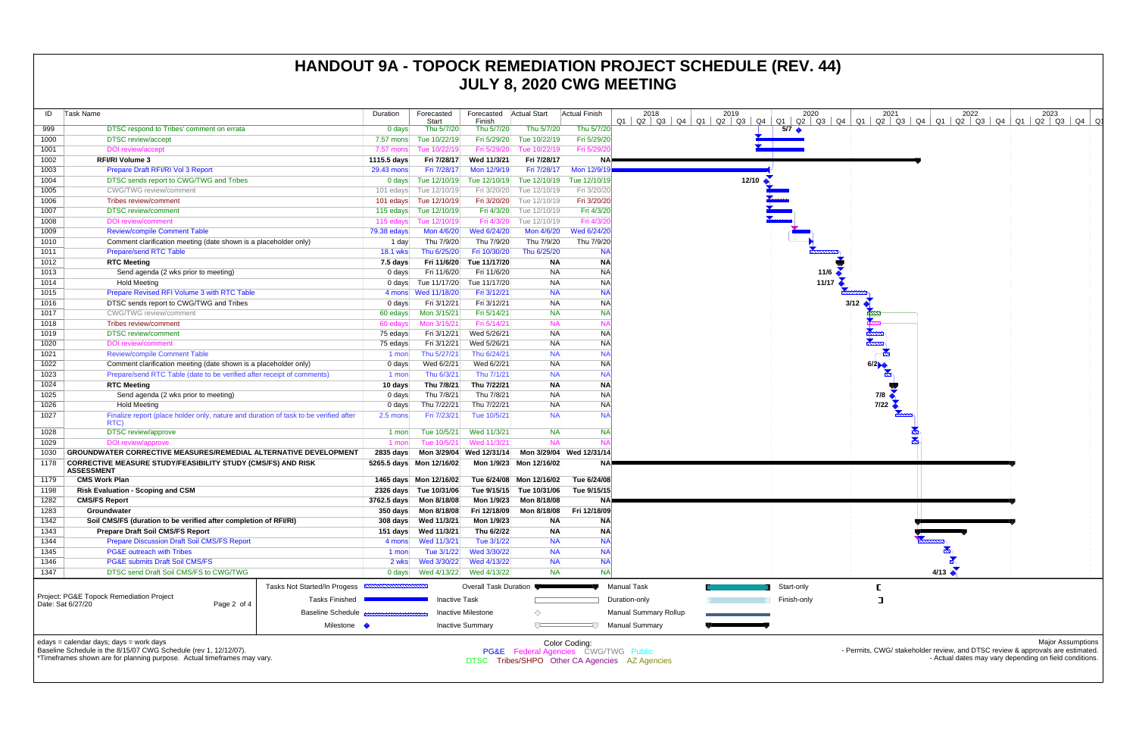| ID                                                                                                                                                                                           | Task Name                                                                                                                                                                                                                                                                                         |  | Duration               | Forecasted                  | Forecasted              | <b>Actual Start</b>         | Actual Finish                | 2018                       | 2019                 | 2020                  |  |  |
|----------------------------------------------------------------------------------------------------------------------------------------------------------------------------------------------|---------------------------------------------------------------------------------------------------------------------------------------------------------------------------------------------------------------------------------------------------------------------------------------------------|--|------------------------|-----------------------------|-------------------------|-----------------------------|------------------------------|----------------------------|----------------------|-----------------------|--|--|
| 999                                                                                                                                                                                          | DTSC respond to Tribes' comment on errata                                                                                                                                                                                                                                                         |  | $0$ days               | Start<br>Thu 5/7/20         | Finish<br>Thu 5/7/20    | Thu 5/7/20                  | Thu 5/7/20                   | $Q2 \mid Q3 \mid Q4$<br>Q1 | $Q1$ $Q2$ $Q3$<br>Q4 | Q1<br>Q2 Q3           |  |  |
|                                                                                                                                                                                              |                                                                                                                                                                                                                                                                                                   |  |                        |                             |                         | Tue 10/22/19                |                              |                            |                      | $5/7$ $\triangleleft$ |  |  |
| 1000                                                                                                                                                                                         | <b>DTSC</b> review/accept                                                                                                                                                                                                                                                                         |  | 7.57 mons              | Tue 10/22/19                | Fri 5/29/20             |                             | Fri 5/29/20                  |                            |                      |                       |  |  |
| 1001<br>1002                                                                                                                                                                                 | DOI review/accept                                                                                                                                                                                                                                                                                 |  | 7.57 mons              | Tue 10/22/19<br>Fri 7/28/17 | Fri 5/29/20             | Tue 10/22/19<br>Fri 7/28/17 | Fri 5/29/2                   |                            |                      |                       |  |  |
|                                                                                                                                                                                              | <b>RFI/RI Volume 3</b>                                                                                                                                                                                                                                                                            |  | 1115.5 days            |                             | Wed 11/3/21             |                             | <b>NA</b>                    |                            |                      |                       |  |  |
| 1003                                                                                                                                                                                         | Prepare Draft RFI/RI Vol 3 Report                                                                                                                                                                                                                                                                 |  | 29.43 mons             | Fri 7/28/17                 | Mon 12/9/19             | Fri 7/28/17                 | Mon 12/9/19                  |                            |                      |                       |  |  |
| 1004                                                                                                                                                                                         | DTSC sends report to CWG/TWG and Tribes                                                                                                                                                                                                                                                           |  | $0$ days               | Tue 12/10/19                | Tue 12/10/19            | Tue 12/10/19                | Tue 12/10/19                 |                            | 12/10                |                       |  |  |
| 1005                                                                                                                                                                                         | <b>CWG/TWG</b> review/comment                                                                                                                                                                                                                                                                     |  | 101 edays<br>101 edays | Tue 12/10/19                | Fri 3/20/20             | Tue 12/10/19                | Fri 3/20/20                  |                            |                      |                       |  |  |
| 1006                                                                                                                                                                                         | Tribes review/comment                                                                                                                                                                                                                                                                             |  |                        | Tue 12/10/19                | Fri 3/20/20             | Tue 12/10/19                | Fri 3/20/20                  |                            |                      |                       |  |  |
| 1007                                                                                                                                                                                         | <b>DTSC</b> review/comment                                                                                                                                                                                                                                                                        |  |                        | Tue 12/10/19                | Fri 4/3/20              | Tue 12/10/19                | Fri 4/3/20                   |                            |                      |                       |  |  |
| 1008                                                                                                                                                                                         | <b>DOI</b> review/comment                                                                                                                                                                                                                                                                         |  | 115 edays              | Tue 12/10/19                | Fri 4/3/20              | Tue 12/10/19                | Fri 4/3/20                   |                            |                      |                       |  |  |
| 1009                                                                                                                                                                                         | <b>Review/compile Comment Table</b>                                                                                                                                                                                                                                                               |  | 79.38 edays            | Mon 4/6/20                  | Wed 6/24/20             | Mon 4/6/20                  | Wed 6/24/20                  |                            |                      |                       |  |  |
| 1010                                                                                                                                                                                         | Comment clarification meeting (date shown is a placeholder only)                                                                                                                                                                                                                                  |  | 1 day                  | Thu 7/9/20                  | Thu 7/9/20              | Thu 7/9/20                  | Thu 7/9/20                   |                            |                      |                       |  |  |
| 1011                                                                                                                                                                                         | <b>Prepare/send RTC Table</b>                                                                                                                                                                                                                                                                     |  | <b>18.1 wks</b>        | Thu 6/25/20                 | Fri 10/30/20            | Thu 6/25/20                 | <b>NA</b>                    |                            |                      |                       |  |  |
| 1012                                                                                                                                                                                         | <b>RTC Meeting</b>                                                                                                                                                                                                                                                                                |  | $7.5$ days             | Fri 11/6/20                 | Tue 11/17/20            | <b>NA</b>                   | <b>NA</b>                    |                            |                      |                       |  |  |
| 1013                                                                                                                                                                                         | Send agenda (2 wks prior to meeting)                                                                                                                                                                                                                                                              |  | $0$ days               | Fri 11/6/20                 | Fri 11/6/20             | <b>NA</b>                   | <b>NA</b>                    |                            |                      | 11/6                  |  |  |
| 1014                                                                                                                                                                                         | <b>Hold Meeting</b>                                                                                                                                                                                                                                                                               |  | $0 \text{ days}$       | Tue 11/17/20                | Tue 11/17/20            | <b>NA</b>                   | <b>NA</b>                    |                            |                      | 11/17                 |  |  |
| 1015                                                                                                                                                                                         | Prepare Revised RFI Volume 3 with RTC Table                                                                                                                                                                                                                                                       |  |                        |                             | Fri 3/12/21             | <b>NA</b>                   | <b>NA</b>                    |                            |                      |                       |  |  |
| 1016                                                                                                                                                                                         | DTSC sends report to CWG/TWG and Tribes                                                                                                                                                                                                                                                           |  | $0$ days               | Fri 3/12/21                 | Fri 3/12/21             | <b>NA</b>                   | <b>NA</b>                    |                            |                      |                       |  |  |
| 1017                                                                                                                                                                                         | <b>CWG/TWG</b> review/comment                                                                                                                                                                                                                                                                     |  | 60 edays               | Mon 3/15/21                 | Fri 5/14/21             | <b>NA</b>                   | <b>NA</b>                    |                            |                      |                       |  |  |
| 1018                                                                                                                                                                                         | Tribes review/comment                                                                                                                                                                                                                                                                             |  | 60 edays               | Mon 3/15/21                 | Fri 5/14/21             | <b>NA</b>                   | $N_A$                        |                            |                      |                       |  |  |
| 1019                                                                                                                                                                                         | <b>DTSC</b> review/comment                                                                                                                                                                                                                                                                        |  | 75 edays               | Fri 3/12/21                 | Wed 5/26/21             | <b>NA</b>                   | <b>NA</b>                    |                            |                      |                       |  |  |
| 1020                                                                                                                                                                                         | <b>DOI</b> review/comment                                                                                                                                                                                                                                                                         |  | 75 edays               | Fri 3/12/21                 | Wed 5/26/21             | <b>NA</b>                   | <b>NA</b>                    |                            |                      |                       |  |  |
| 1021                                                                                                                                                                                         | <b>Review/compile Comment Table</b>                                                                                                                                                                                                                                                               |  | 1 mon                  | Thu 5/27/21                 | Thu 6/24/21             | <b>NA</b>                   | <b>NA</b>                    |                            |                      |                       |  |  |
| 1022                                                                                                                                                                                         | Comment clarification meeting (date shown is a placeholder only)                                                                                                                                                                                                                                  |  | 0 days                 | Wed 6/2/21                  | Wed 6/2/21              | <b>NA</b>                   | <b>NA</b>                    |                            |                      |                       |  |  |
| 1023                                                                                                                                                                                         | Prepare/send RTC Table (date to be verified after receipt of comments)                                                                                                                                                                                                                            |  | 1 mon                  | Thu 6/3/21                  | Thu 7/1/21              | <b>NA</b>                   | <b>NA</b>                    |                            |                      |                       |  |  |
| 1024                                                                                                                                                                                         | <b>RTC Meeting</b>                                                                                                                                                                                                                                                                                |  | 10 days                | Thu 7/8/21                  | Thu 7/22/21             | <b>NA</b>                   | <b>NA</b>                    |                            |                      |                       |  |  |
| 1025                                                                                                                                                                                         | Send agenda (2 wks prior to meeting)                                                                                                                                                                                                                                                              |  | 0 days                 | Thu 7/8/21                  | Thu 7/8/21              | <b>NA</b>                   | <b>NA</b>                    |                            |                      |                       |  |  |
| 1026                                                                                                                                                                                         | <b>Hold Meeting</b>                                                                                                                                                                                                                                                                               |  | 0 days                 | Thu 7/22/21                 | Thu 7/22/21             | <b>NA</b>                   | <b>NA</b>                    |                            |                      |                       |  |  |
| 1027                                                                                                                                                                                         | Finalize report (place holder only, nature and duration of task to be verified after<br>RTC)                                                                                                                                                                                                      |  | 2.5 mons               | Fri 7/23/21                 | Tue 10/5/21             | <b>NA</b>                   | <b>NA</b>                    |                            |                      |                       |  |  |
| 1028                                                                                                                                                                                         | <b>DTSC</b> review/approve                                                                                                                                                                                                                                                                        |  | 1 mon                  | Tue 10/5/21                 | Wed 11/3/21             | <b>NA</b>                   | <b>NA</b>                    |                            |                      |                       |  |  |
| 1029                                                                                                                                                                                         | DOI review/approve                                                                                                                                                                                                                                                                                |  |                        | Tue 10/5/21                 | Wed 11/3/21             | <b>NA</b>                   | $N_A$                        |                            |                      |                       |  |  |
| 1030                                                                                                                                                                                         | <b>GROUNDWATER CORRECTIVE MEASURES/REMEDIAL ALTERNATIVE DEVELOPMENT</b>                                                                                                                                                                                                                           |  | 1 mon<br>2835 days     | Mon 3/29/04                 | Wed 12/31/14            |                             | Mon 3/29/04 Wed 12/31/14     |                            |                      |                       |  |  |
| 1178                                                                                                                                                                                         | <b>CORRECTIVE MEASURE STUDY/FEASIBILITY STUDY (CMS/FS) AND RISK</b>                                                                                                                                                                                                                               |  |                        | 5265.5 days Mon 12/16/02    |                         | Mon 1/9/23 Mon 12/16/02     | ΝA                           |                            |                      |                       |  |  |
| 1179                                                                                                                                                                                         | <b>ASSESSMENT</b><br><b>CMS Work Plan</b>                                                                                                                                                                                                                                                         |  |                        | 1465 days Mon 12/16/02      | Tue 6/24/08             | Mon 12/16/02                | Tue 6/24/08                  |                            |                      |                       |  |  |
| 1198                                                                                                                                                                                         | <b>Risk Evaluation - Scoping and CSM</b>                                                                                                                                                                                                                                                          |  |                        | 2326 days Tue 10/31/06      | Tue 9/15/15             | Tue 10/31/06                | Tue 9/15/15                  |                            |                      |                       |  |  |
| 1282                                                                                                                                                                                         | <b>CMS/FS Report</b>                                                                                                                                                                                                                                                                              |  | 3762.5 days            | Mon 8/18/08                 | Mon 1/9/23              | Mon 8/18/08                 | ΝA                           |                            |                      |                       |  |  |
| 1283                                                                                                                                                                                         | Groundwater                                                                                                                                                                                                                                                                                       |  | 350 days               | Mon 8/18/08                 | Fri 12/18/09            | Mon 8/18/08                 | Fri 12/18/09                 |                            |                      |                       |  |  |
| 1342                                                                                                                                                                                         | Soil CMS/FS (duration to be verified after completion of RFI/RI)                                                                                                                                                                                                                                  |  | $308$ days             | Wed 11/3/21                 | Mon 1/9/23              | <b>NA</b>                   | <b>NA</b>                    |                            |                      |                       |  |  |
| 1343                                                                                                                                                                                         | Prepare Draft Soil CMS/FS Report                                                                                                                                                                                                                                                                  |  | 151 days               | Wed 11/3/21                 | Thu 6/2/22              | <b>NA</b>                   | <b>NA</b>                    |                            |                      |                       |  |  |
| 1344                                                                                                                                                                                         | <b>Prepare Discussion Draft Soil CMS/FS Report</b>                                                                                                                                                                                                                                                |  | 4 mons                 | Wed 11/3/21                 | Tue 3/1/22              | <b>NA</b>                   | <b>NA</b>                    |                            |                      |                       |  |  |
| 1345                                                                                                                                                                                         | <b>PG&amp;E</b> outreach with Tribes                                                                                                                                                                                                                                                              |  | 1 mon                  | Tue 3/1/22                  | Wed 3/30/22             | <b>NA</b>                   | <b>NA</b>                    |                            |                      |                       |  |  |
| 1346                                                                                                                                                                                         | <b>PG&amp;E submits Draft Soil CMS/FS</b>                                                                                                                                                                                                                                                         |  | 2 wks                  | Wed 3/30/22                 | Wed 4/13/22             | <b>NA</b>                   | <b>NA</b>                    |                            |                      |                       |  |  |
| 1347                                                                                                                                                                                         | DTSC send Draft Soil CMS/FS to CWG/TWG                                                                                                                                                                                                                                                            |  |                        | Wed 4/13/22                 | Wed 4/13/22             | <b>NA</b>                   | <b>NA</b>                    |                            |                      |                       |  |  |
|                                                                                                                                                                                              |                                                                                                                                                                                                                                                                                                   |  | $0$ days               |                             |                         |                             |                              |                            |                      |                       |  |  |
| Tasks Not Started/In Progess <b>EXAMPLE DETERMINENT</b><br>Project: PG&E Topock Remediation Project<br><b>Tasks Finished</b><br>Date: Sat 6/27/20<br>Page 2 of 4<br><b>Baseline Schedule</b> |                                                                                                                                                                                                                                                                                                   |  |                        | Overall Task Duration       |                         |                             | <b>Manual Task</b>           |                            | Start-only           |                       |  |  |
|                                                                                                                                                                                              |                                                                                                                                                                                                                                                                                                   |  | <b>Inactive Task</b>   |                             |                         |                             | Duration-only                |                            | Finish-only          |                       |  |  |
|                                                                                                                                                                                              |                                                                                                                                                                                                                                                                                                   |  |                        | <b>Inactive Milestone</b>   | ◇                       |                             | <b>Manual Summary Rollup</b> |                            |                      |                       |  |  |
| Milestone •                                                                                                                                                                                  |                                                                                                                                                                                                                                                                                                   |  |                        |                             | <b>Inactive Summary</b> | ▽                           |                              | <b>Manual Summary</b>      |                      |                       |  |  |
|                                                                                                                                                                                              | Color Coding:<br>edays = calendar days; days = work days<br>Baseline Schedule is the 8/15/07 CWG Schedule (rev 1, 12/12/07).<br>PG&E Federal Agencies CWG/TWG Public<br>*Timeframes shown are for planning purpose. Actual timeframes may vary.<br>DTSC Tribes/SHPO Other CA Agencies AZ Agencies |  |                        |                             |                         |                             |                              |                            |                      |                       |  |  |

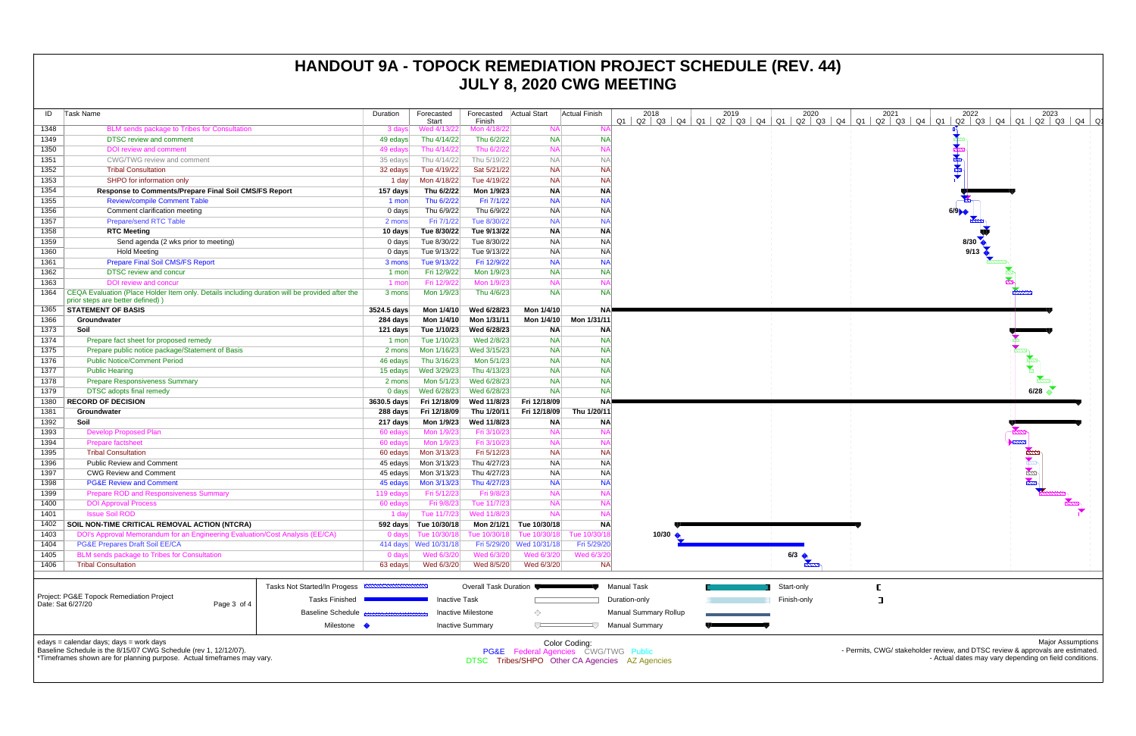| ID                                                                                                                                                         | Task Name                                                                                                                                                                              |                         | Duration             | Forecasted<br>Start        | Forecasted Actual Start<br>Finish |                                                 | <b>Actual Finish</b>         | 2018<br>$Q3$ $Q4$<br>Q1<br>Q2                  | 2019<br>$Q1$ $Q2$ $Q3$<br>Q4 | 2020<br>Q1<br>$Q2$ $Q3$ |  |  |  |
|------------------------------------------------------------------------------------------------------------------------------------------------------------|----------------------------------------------------------------------------------------------------------------------------------------------------------------------------------------|-------------------------|----------------------|----------------------------|-----------------------------------|-------------------------------------------------|------------------------------|------------------------------------------------|------------------------------|-------------------------|--|--|--|
| 1348                                                                                                                                                       | BLM sends package to Tribes for Consultation                                                                                                                                           |                         | 3 days               | Wed 4/13/22                | Mon 4/18/22                       | <b>NA</b>                                       | N/                           |                                                |                              |                         |  |  |  |
| 1349                                                                                                                                                       | <b>DTSC</b> review and comment                                                                                                                                                         |                         | 49 edays             | Thu 4/14/22                | Thu 6/2/22                        | <b>NA</b>                                       | <b>NA</b>                    |                                                |                              |                         |  |  |  |
| 1350                                                                                                                                                       | <b>DOI</b> review and comment                                                                                                                                                          |                         | 49 edays             | Thu 4/14/22                | Thu 6/2/22                        | <b>NA</b>                                       | N                            |                                                |                              |                         |  |  |  |
| 1351                                                                                                                                                       | CWG/TWG review and comment                                                                                                                                                             |                         | 35 edays             | Thu 4/14/22                | Thu 5/19/22                       | <b>NA</b>                                       | $N_A$                        |                                                |                              |                         |  |  |  |
| 1352                                                                                                                                                       | <b>Tribal Consultation</b>                                                                                                                                                             |                         | 32 edays             | Tue 4/19/22                | Sat 5/21/22                       | <b>NA</b>                                       | <b>NA</b>                    |                                                |                              |                         |  |  |  |
| 1353                                                                                                                                                       | SHPO for information only                                                                                                                                                              |                         | 1 day                | Mon 4/18/22                | Tue 4/19/22                       | <b>NA</b>                                       | <b>NA</b>                    |                                                |                              |                         |  |  |  |
| 1354                                                                                                                                                       | Response to Comments/Prepare Final Soil CMS/FS Report                                                                                                                                  |                         | 157 days             | Thu 6/2/22                 | Mon 1/9/23                        | <b>NA</b>                                       | <b>NA</b>                    |                                                |                              |                         |  |  |  |
| 1355                                                                                                                                                       | <b>Review/compile Comment Table</b>                                                                                                                                                    |                         | 1 mon                | Thu 6/2/22                 | Fri 7/1/22                        | <b>NA</b>                                       | <b>NA</b>                    |                                                |                              |                         |  |  |  |
| 1356                                                                                                                                                       | Comment clarification meeting                                                                                                                                                          |                         | $0$ days             | Thu 6/9/22                 | Thu 6/9/22                        | <b>NA</b>                                       | <b>NA</b>                    |                                                |                              |                         |  |  |  |
| 1357                                                                                                                                                       | <b>Prepare/send RTC Table</b>                                                                                                                                                          |                         | 2 mons               | Fri 7/1/22                 | Tue 8/30/22                       | <b>NA</b>                                       | <b>NA</b>                    |                                                |                              |                         |  |  |  |
| 1358                                                                                                                                                       | <b>RTC Meeting</b>                                                                                                                                                                     |                         | 10 days              | Tue 8/30/22                | Tue 9/13/22                       | <b>NA</b>                                       | <b>NA</b>                    |                                                |                              |                         |  |  |  |
| 1359                                                                                                                                                       | Send agenda (2 wks prior to meeting)                                                                                                                                                   |                         | $0$ days             | Tue 8/30/22                | Tue 8/30/22                       | <b>NA</b>                                       | <b>NA</b>                    |                                                |                              |                         |  |  |  |
| 1360                                                                                                                                                       | <b>Hold Meeting</b>                                                                                                                                                                    |                         | $0$ days             | Tue 9/13/22                | Tue 9/13/22                       | <b>NA</b>                                       | <b>NA</b>                    |                                                |                              |                         |  |  |  |
| 1361                                                                                                                                                       | <b>Prepare Final Soil CMS/FS Report</b>                                                                                                                                                |                         | 3 mons               | Tue 9/13/22                | Fri 12/9/22                       | <b>NA</b>                                       | <b>NA</b>                    |                                                |                              |                         |  |  |  |
| 1362                                                                                                                                                       | <b>DTSC review and concur</b>                                                                                                                                                          |                         | 1 mon                | Fri 12/9/22                | Mon 1/9/23                        | <b>NA</b>                                       | <b>NA</b>                    |                                                |                              |                         |  |  |  |
| 1363                                                                                                                                                       | DOI review and concur                                                                                                                                                                  |                         | 1 mon                | Fri 12/9/22                | Mon 1/9/23                        | <b>NA</b>                                       | N/                           |                                                |                              |                         |  |  |  |
| 1364                                                                                                                                                       | CEQA Evaluation (Place Holder Item only. Details including duration will be provided after the<br>prior steps are better defined))                                                     |                         |                      | 3 mons<br>Mon 1/9/23       | Thu 4/6/23                        | <b>NA</b>                                       | <b>NA</b>                    |                                                |                              |                         |  |  |  |
| 1365                                                                                                                                                       | <b>STATEMENT OF BASIS</b>                                                                                                                                                              |                         |                      | 3524.5 days<br>Mon 1/4/10  | Wed 6/28/23                       | Mon 1/4/10                                      | <b>NA</b>                    |                                                |                              |                         |  |  |  |
| 1366                                                                                                                                                       | Groundwater                                                                                                                                                                            |                         | 284 days             | Mon 1/4/10                 | Mon 1/31/11                       | Mon 1/4/10                                      | Mon 1/31/11                  |                                                |                              |                         |  |  |  |
| 1373                                                                                                                                                       | Soil                                                                                                                                                                                   |                         | 121 days             | Tue 1/10/23                | Wed 6/28/23                       | <b>NA</b>                                       | <b>NA</b>                    |                                                |                              |                         |  |  |  |
| 1374                                                                                                                                                       | Prepare fact sheet for proposed remedy                                                                                                                                                 |                         |                      |                            | Wed 2/8/23                        | <b>NA</b>                                       | <b>NA</b>                    |                                                |                              |                         |  |  |  |
| 1375                                                                                                                                                       | Prepare public notice package/Statement of Basis                                                                                                                                       |                         | 2 mons               | Mon 1/16/23                | Wed 3/15/23                       | <b>NA</b>                                       | <b>NA</b>                    |                                                |                              |                         |  |  |  |
| 1376                                                                                                                                                       | <b>Public Notice/Comment Period</b>                                                                                                                                                    | 46 edays                | Thu 3/16/23          | Mon 5/1/23                 | <b>NA</b>                         | <b>NA</b>                                       |                              |                                                |                              |                         |  |  |  |
| 1377                                                                                                                                                       | <b>Public Hearing</b>                                                                                                                                                                  |                         | 15 edays             | Wed 3/29/23                | Thu 4/13/23                       | <b>NA</b>                                       | <b>NA</b>                    |                                                |                              |                         |  |  |  |
| 1378                                                                                                                                                       | <b>Prepare Responsiveness Summary</b>                                                                                                                                                  |                         | 2 mons               | Mon 5/1/23                 | Wed 6/28/23                       | <b>NA</b>                                       | <b>NA</b>                    |                                                |                              |                         |  |  |  |
| 1379                                                                                                                                                       | <b>DTSC</b> adopts final remedy                                                                                                                                                        |                         | $0$ days             | Wed 6/28/23                | Wed 6/28/23                       | <b>NA</b>                                       | <b>NA</b>                    |                                                |                              |                         |  |  |  |
| 1380                                                                                                                                                       | <b>RECORD OF DECISION</b>                                                                                                                                                              |                         |                      | Fri 12/18/09               | Wed 11/8/23                       | Fri 12/18/09                                    | <b>NA</b>                    |                                                |                              |                         |  |  |  |
| 1381                                                                                                                                                       | Groundwater                                                                                                                                                                            | 3630.5 days<br>288 days | Fri 12/18/09         | Thu 1/20/11                | Fri 12/18/09                      | Thu 1/20/11                                     |                              |                                                |                              |                         |  |  |  |
| 1392                                                                                                                                                       | Soil                                                                                                                                                                                   |                         | 217 days             | Mon 1/9/23                 | Wed 11/8/23                       | <b>NA</b>                                       | <b>NA</b>                    |                                                |                              |                         |  |  |  |
| 1393                                                                                                                                                       | <b>Develop Proposed Plan</b>                                                                                                                                                           |                         | 60 edays             | Mon 1/9/23                 | Fri 3/10/23                       | <b>NA</b>                                       | N/                           |                                                |                              |                         |  |  |  |
| 1394                                                                                                                                                       | <b>Prepare factsheet</b>                                                                                                                                                               |                         |                      |                            | Fri 3/10/23                       | <b>NA</b>                                       | N                            |                                                |                              |                         |  |  |  |
| 1395                                                                                                                                                       | <b>Tribal Consultation</b>                                                                                                                                                             |                         |                      |                            | Fri 5/12/23                       | <b>NA</b>                                       | <b>NA</b>                    |                                                |                              |                         |  |  |  |
| 1396                                                                                                                                                       | <b>Public Review and Comment</b>                                                                                                                                                       |                         | 60 edays<br>45 edays | Mon 3/13/23<br>Mon 3/13/23 | Thu 4/27/23                       | <b>NA</b>                                       | <b>NA</b>                    |                                                |                              |                         |  |  |  |
| 1397                                                                                                                                                       | <b>CWG Review and Comment</b>                                                                                                                                                          |                         | 45 edays             | Mon 3/13/23                | Thu 4/27/23                       | <b>NA</b>                                       | <b>NA</b>                    |                                                |                              |                         |  |  |  |
| 1398                                                                                                                                                       | <b>PG&amp;E Review and Comment</b>                                                                                                                                                     |                         | 45 edays             | Mon 3/13/23                | Thu 4/27/23                       | <b>NA</b>                                       | <b>NA</b>                    |                                                |                              |                         |  |  |  |
| 1399                                                                                                                                                       | <b>Prepare ROD and Responsiveness Summary</b>                                                                                                                                          |                         | 119 edays            | Fri 5/12/23                | Fri 9/8/23                        | <b>NA</b>                                       | N/                           |                                                |                              |                         |  |  |  |
| 1400                                                                                                                                                       | <b>DOI Approval Process</b>                                                                                                                                                            |                         | 60 edays             | Fri 9/8/23                 | Tue 11/7/23                       | <b>NA</b>                                       | N                            |                                                |                              |                         |  |  |  |
| 1401                                                                                                                                                       | <b>Issue Soil ROD</b>                                                                                                                                                                  |                         | 1 day                | Tue 11/7/23                | Wed 11/8/23                       | <b>NA</b>                                       | N/                           |                                                |                              |                         |  |  |  |
| 1402                                                                                                                                                       | SOIL NON-TIME CRITICAL REMOVAL ACTION (NTCRA)                                                                                                                                          |                         |                      | 592 days Tue 10/30/18      |                                   | Mon 2/1/21 Tue 10/30/18                         | <b>NA</b>                    |                                                |                              |                         |  |  |  |
| 1403                                                                                                                                                       |                                                                                                                                                                                        |                         | $0$ days             | Tue 10/30/18               | Tue 10/30/18                      | Tue 10/30/18                                    | Tue 10/30/1                  | 10/30 $\bigstar$                               |                              |                         |  |  |  |
| 1404                                                                                                                                                       | DOI's Approval Memorandum for an Engineering Evaluation/Cost Analysis (EE/CA)<br><b>PG&amp;E Prepares Draft Soil EE/CA</b>                                                             |                         |                      | 414 days  Wed 10/31/18     | Fri 5/29/20                       | Wed 10/31/18                                    | Fri 5/29/20                  |                                                |                              |                         |  |  |  |
| 1405                                                                                                                                                       | BLM sends package to Tribes for Consultation                                                                                                                                           |                         | 0 days               | Wed 6/3/20                 | Wed 6/3/20                        | Wed 6/3/20                                      | Wed 6/3/20                   |                                                |                              | 6/3                     |  |  |  |
| 1406                                                                                                                                                       | <b>Tribal Consultation</b>                                                                                                                                                             |                         |                      | Wed 6/3/20                 | Wed 8/5/20                        | Wed 6/3/20                                      | <b>NA</b>                    |                                                |                              |                         |  |  |  |
|                                                                                                                                                            |                                                                                                                                                                                        |                         | 63 edays             |                            |                                   |                                                 |                              |                                                |                              |                         |  |  |  |
| Tasks Not Started/In Progess<br>Project: PG&E Topock Remediation Project<br><b>Tasks Finished</b><br>Date: Sat 6/27/20<br>Page 3 of 4<br>Baseline Schedule |                                                                                                                                                                                        |                         |                      | Overall Task Duration      |                                   |                                                 | <b>Manual Task</b>           |                                                | Start-only                   |                         |  |  |  |
|                                                                                                                                                            |                                                                                                                                                                                        |                         | <b>Inactive Task</b> |                            |                                   |                                                 | Duration-only                |                                                | Finish-only                  |                         |  |  |  |
|                                                                                                                                                            |                                                                                                                                                                                        |                         |                      | <b>Inactive Milestone</b>  | ◇                                 |                                                 | <b>Manual Summary Rollup</b> |                                                |                              |                         |  |  |  |
| Milestone •                                                                                                                                                |                                                                                                                                                                                        |                         |                      |                            | <b>Inactive Summary</b>           | ᅲ                                               |                              | <b>Manual Summary</b>                          |                              |                         |  |  |  |
|                                                                                                                                                            | edays = calendar days; days = work days<br>Baseline Schedule is the 8/15/07 CWG Schedule (rev 1, 12/12/07).<br>*Timeframes shown are for planning purpose. Actual timeframes may vary. |                         |                      |                            |                                   | <b>PG&amp;E</b> Federal Agencies CWG/TWG Public | Color Coding:                | DTSC Tribes/SHPO Other CA Agencies AZ Agencies |                              |                         |  |  |  |